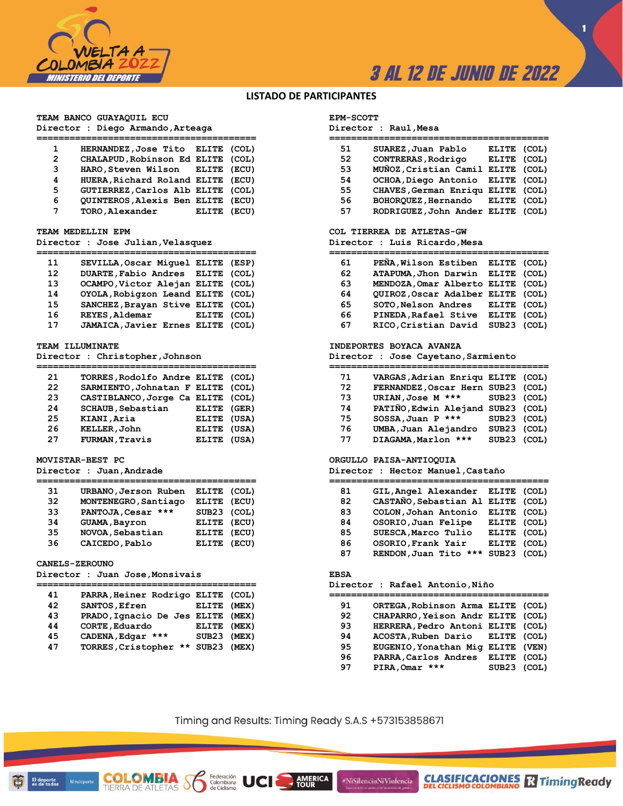

# **3 AL 12 DE JUNIO DE 2022**

**1**

# **LISTADO DE PARTICIPANTES**

**TEAM BANCO GUAYAQUIL ECU Director : Diego Armando,Arteaga**

| 1              | HERNANDEZ, Jose Tito ELITE (COL)  |             |  |
|----------------|-----------------------------------|-------------|--|
| $\overline{2}$ | CHALAPUD, Robinson Ed ELITE (COL) |             |  |
| 3              | HARO, Steven Wilson ELITE (ECU)   |             |  |
| 4              | HUERA, Richard Roland ELITE (ECU) |             |  |
| 5              | GUTIERREZ, Carlos Alb ELITE (COL) |             |  |
| 6              | QUINTEROS, Alexis Ben ELITE (ECU) |             |  |
| 7              | TORO, Alexander                   | ELITE (ECU) |  |

## **TEAM MEDELLIN EPM**

**Director : Jose Julian,Velasquez**

| 11 | SEVILLA, Oscar Miquel ELITE (ESP) |             |  |
|----|-----------------------------------|-------------|--|
| 12 | DUARTE, Fabio Andres ELITE (COL)  |             |  |
| 13 | OCAMPO, Victor Alejan ELITE (COL) |             |  |
| 14 | OYOLA, Robigzon Leand ELITE (COL) |             |  |
| 15 | SANCHEZ, Brayan Stive ELITE (COL) |             |  |
| 16 | REYES, Aldemar                    | ELITE (COL) |  |
| 17 | JAMAICA, Javier Ernes ELITE (COL) |             |  |
|    |                                   |             |  |

## **TEAM ILLUMINATE**

**Director : Christopher,Johnson**

| 21 | TORRES, Rodolfo Andre ELITE (COL) |             |  |
|----|-----------------------------------|-------------|--|
| 22 | SARMIENTO, Johnatan F ELITE (COL) |             |  |
| 23 |                                   |             |  |
|    | CASTIBLANCO, Jorge Ca ELITE (COL) |             |  |
| 24 | <b>SCHAUB, Sebastian</b>          | ELITE (GER) |  |
| 25 | KIANI, Aria                       | ELITE (USA) |  |
| 26 | KELLER, John                      | ELITE (USA) |  |
| 27 | <b>FURMAN, Travis</b>             | ELITE (USA) |  |

# **MOVISTAR-BEST PC**

**Director : Juan,Andrade**

| 31 | URBANO, Jerson Ruben | ELITE (COL) |  |
|----|----------------------|-------------|--|
| 32 | MONTENEGRO, Santiago | ELITE (ECU) |  |
| 33 | PANTOJA, Cesar ***   | SUB23 (COL) |  |
| 34 | <b>GUAMA, Bayron</b> | ELITE (ECU) |  |
| 35 | NOVOA, Sebastian     | ELITE (ECU) |  |
| 36 | CAICEDO, Pablo       | ELITE (ECU) |  |

# **CANELS-ZEROUNO**

**Director : Juan Jose,Monsivais**

COL

El deporte<br>es de todos

ОМЫ

**TIERRA DE ATLETAS** 

| 41 | PARRA, Heiner Rodrigo ELITE (COL) |             |  |
|----|-----------------------------------|-------------|--|
| 42 | SANTOS, Efren                     | ELITE (MEX) |  |
| 43 | PRADO, Ignacio De Jes ELITE (MEX) |             |  |
| 44 | CORTE, Eduardo                    | ELITE (MEX) |  |
| 45 | CADENA, Edgar ***                 | SUB23 (MEX) |  |
| 47 | TORRES, Cristopher<br>$***$       | SUB23 (MEX) |  |
|    |                                   |             |  |

# **EPM-SCOTT**

**Director : Raul,Mesa**

| 51 | SUAREZ, Juan Pablo                | ELITE (COL) |  |
|----|-----------------------------------|-------------|--|
| 52 | CONTRERAS, Rodrigo                | ELITE (COL) |  |
| 53 | MUÑOZ, Cristian Camil ELITE (COL) |             |  |
| 54 | OCHOA, Diego Antonio ELITE (COL)  |             |  |
| 55 | CHAVES, German Enriqu ELITE (COL) |             |  |
| 56 | BOHOROUEZ.Hernando ELITE (COL)    |             |  |
| 57 | RODRIGUEZ, John Ander ELITE (COL) |             |  |

# **COL TIERREA DE ATLETAS-GW**

**Director : Luis Ricardo,Mesa**

| 61 | PEÑA, Wilson Estiben              | ELITE (COL) |  |
|----|-----------------------------------|-------------|--|
| 62 | ATAPUMA, Jhon Darwin ELITE (COL)  |             |  |
| 63 | MENDOZA, Omar Alberto ELITE (COL) |             |  |
| 64 | QUIROZ, Oscar Adalber ELITE (COL) |             |  |
| 65 | SOTO, Nelson Andres               | ELITE (COL) |  |
| 66 | PINEDA, Rafael Stive              | ELITE (COL) |  |
| 67 | RICO, Cristian David              | SUB23 (COL) |  |

## **INDEPORTES BOYACA AVANZA**

**Director : Jose Cayetano,Sarmiento**

| 71 | VARGAS, Adrian Enriqu ELITE (COL) |             |  |
|----|-----------------------------------|-------------|--|
| 72 | FERNANDEZ, Oscar Hern SUB23 (COL) |             |  |
| 73 | URIAN, Jose M ***                 | SUB23 (COL) |  |
| 74 | PATIÑO, Edwin Alejand SUB23 (COL) |             |  |
| 75 | SOSSA, Juan P ***                 | SUB23 (COL) |  |
| 76 | UMBA, Juan Alejandro              | SUB23 (COL) |  |
| 77 | DIAGAMA, Marlon ***               | SUB23 (COL) |  |

# **ORGULLO PAISA-ANTIOQUIA**

**Director : Hector Manuel,Castaño**

| 81 | GIL, Angel Alexander ELITE (COL)  |             |  |
|----|-----------------------------------|-------------|--|
| 82 | CASTAÑO, Sebastian Al ELITE (COL) |             |  |
| 83 | COLON, Johan Antonio              | ELITE (COL) |  |
| 84 | OSORIO, Juan Felipe               | ELITE (COL) |  |
| 85 | SUESCA, Marco Tulio               | ELITE (COL) |  |
| 86 | OSORIO, Frank Yair                | ELITE (COL) |  |
| 87 | RENDON, Juan Tito<br>***          | SUB23 (COL) |  |

# **EBSA**

**Director : Rafael Antonio,Niño**

| 91 | ORTEGA, Robinson Arma ELITE (COL) |             |  |
|----|-----------------------------------|-------------|--|
| 92 | CHAPARRO, Yeison Andr ELITE (COL) |             |  |
| 93 | HERRERA, Pedro Antoni ELITE (COL) |             |  |
| 94 | ACOSTA, Ruben Dario ELITE (COL)   |             |  |
| 95 | EUGENIO, Yonathan Mig ELITE (VEN) |             |  |
| 96 | PARRA, Carlos Andres              | ELITE (COL) |  |
| 97 | PIRA, Omar ***                    | SUB23 (COL) |  |
|    |                                   |             |  |

**CLASIFICACIONES M**Timing Ready

Timing and Results: Timing Ready S.A.S +573153858671

**AMERICA**<br>TOUR

#NiSilencioNiViolencia

Federación<br>Colombiana **UCI**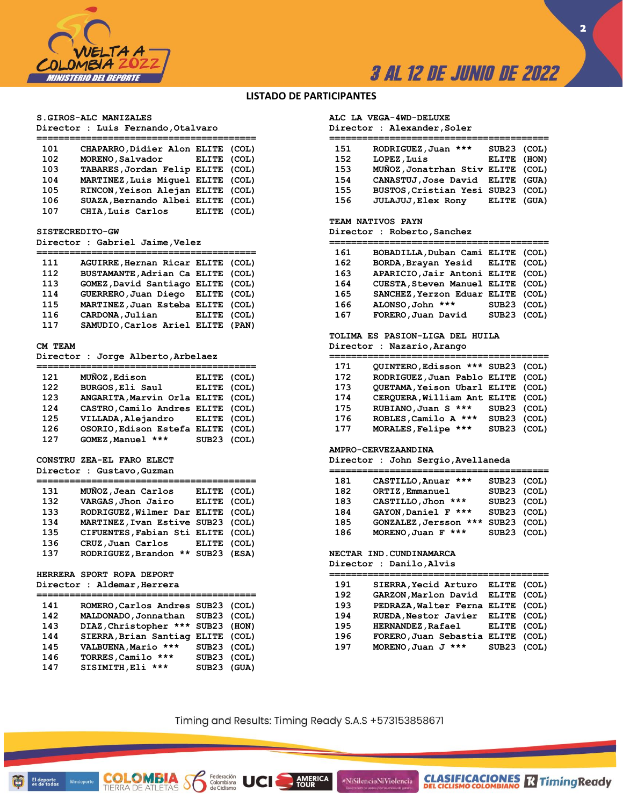

# **3 AL 12 DE JUNIO DE 2022**

# **LISTADO DE PARTICIPANTES**

## **S.GIROS-ALC MANIZALES**

**Director : Luis Fernando,Otalvaro**

| 101 | CHAPARRO, Didier Alon ELITE (COL) |             |  |
|-----|-----------------------------------|-------------|--|
| 102 | MORENO, Salvador                  | ELITE (COL) |  |
| 103 | TABARES, Jordan Felip ELITE (COL) |             |  |
| 104 | MARTINEZ, Luis Miquel ELITE (COL) |             |  |
| 105 | RINCON, Yeison Alejan ELITE (COL) |             |  |
| 106 | SUAZA, Bernando Albei ELITE (COL) |             |  |
| 107 | CHIA, Luis Carlos                 | ELITE (COL) |  |
|     |                                   |             |  |

#### **SISTECREDITO-GW**

**Director : Gabriel Jaime,Velez**

| 111 | AGUIRRE, Hernan Ricar ELITE (COL) |             |  |
|-----|-----------------------------------|-------------|--|
| 112 | BUSTAMANTE, Adrian Ca ELITE (COL) |             |  |
| 113 | GOMEZ, David Santiago ELITE (COL) |             |  |
| 114 | GUERRERO, Juan Diego ELITE (COL)  |             |  |
| 115 | MARTINEZ, Juan Esteba ELITE (COL) |             |  |
| 116 | CARDONA, Julian                   | ELITE (COL) |  |
| 117 | SAMUDIO, Carlos Ariel ELITE (PAN) |             |  |
|     |                                   |             |  |

## **CM TEAM**

**Director : Jorge Alberto,Arbelaez**

| 121 | MUÑOZ, Edison                     | ELITE (COL) |  |
|-----|-----------------------------------|-------------|--|
| 122 | BURGOS, Eli Saul                  | ELITE (COL) |  |
| 123 | ANGARITA, Marvin Orla ELITE (COL) |             |  |
| 124 | CASTRO, Camilo Andres ELITE (COL) |             |  |
| 125 | VILLADA, Alejandro ELITE (COL)    |             |  |
| 126 | OSORIO, Edison Estefa ELITE (COL) |             |  |
| 127 | GOMEZ, Manuel ***                 | SUB23 (COL) |  |
|     |                                   |             |  |

# **CONSTRU ZEA-EL FARO ELECT**

**Director : Gustavo,Guzman**

| 131 | MUNOZ, Jean Carlos                | ELITE (COL) |  |
|-----|-----------------------------------|-------------|--|
| 132 | VARGAS, Jhon Jairo                | ELITE (COL) |  |
| 133 | RODRIGUEZ, Wilmer Dar ELITE (COL) |             |  |
| 134 | MARTINEZ, Ivan Estive SUB23 (COL) |             |  |
| 135 | CIFUENTES, Fabian Sti ELITE (COL) |             |  |
| 136 | CRUZ,Juan Carlos                  | ELITE (COL) |  |
| 137 | RODRIGUEZ, Brandon ** SUB23 (ESA) |             |  |

# **HERRERA SPORT ROPA DEPORT Director : Aldemar,Herrera**

| 141 | ROMERO, Carlos Andres SUB23 (COL) |  |
|-----|-----------------------------------|--|
| 142 | MALDONADO, Jonnathan SUB23 (COL)  |  |

COL

**TIERRA DE ATLETAS** 

El deporte<br>es de todos

| 142 | MALDONADO, Jonnathan SUB23 (COL)  |             |  |
|-----|-----------------------------------|-------------|--|
| 143 | DIAZ, Christopher *** SUB23 (HON) |             |  |
| 144 | SIERRA, Brian Santiag ELITE (COL) |             |  |
| 145 | VALBUENA, Mario ***               | SUB23 (COL) |  |
| 146 | TORRES, Camilo ***                | SUB23 (COL) |  |
| 147 | SISIMITH, Eli ***                 | SUB23 (GUA) |  |

# **ALC LA VEGA-4WD-DELUXE**

**Director : Alexander,Soler**

| 151 | RODRIGUEZ, Juan ***               | SUB23 (COL) |  |
|-----|-----------------------------------|-------------|--|
| 152 | LOPEZ, Luis                       | ELITE (HON) |  |
| 153 | MUÑOZ, Jonatrhan Stiv ELITE (COL) |             |  |
| 154 | CANASTUJ, Jose David ELITE (GUA)  |             |  |
| 155 | BUSTOS, Cristian Yesi SUB23 (COL) |             |  |
| 156 | <b>JULAJUJ</b> , Elex Rony        | ELITE (GUA) |  |
|     |                                   |             |  |

#### **TEAM NATIVOS PAYN**

**Director : Roberto,Sanchez**

| 161 | BOBADILLA, Duban Cami ELITE (COL) |             |  |
|-----|-----------------------------------|-------------|--|
| 162 | BORDA, Brayan Yesid ELITE (COL)   |             |  |
| 163 | APARICIO, Jair Antoni ELITE (COL) |             |  |
| 164 | CUESTA, Steven Manuel ELITE (COL) |             |  |
| 165 | SANCHEZ, Yerzon Eduar ELITE (COL) |             |  |
| 166 | ALONSO, John ***                  | SUB23 (COL) |  |
| 167 | FORERO, Juan David                | SUB23 (COL) |  |

# **TOLIMA ES PASION-LIGA DEL HUILA Director : Nazario,Arango**

**========================================**

| 171 | QUINTERO, Edisson *** SUB23 (COL) |             |  |
|-----|-----------------------------------|-------------|--|
| 172 | RODRIGUEZ, Juan Pablo ELITE (COL) |             |  |
| 173 | QUETAMA, Yeison Ubarl ELITE (COL) |             |  |
| 174 | CERQUERA, William Ant ELITE (COL) |             |  |
| 175 | RUBIANO, Juan S ***               | SUB23 (COL) |  |
| 176 | ROBLES, Camilo A ***              | SUB23 (COL) |  |
| 177 | MORALES, Felipe ***               | SUB23 (COL) |  |

#### **AMPRO-CERVEZAANDINA**

**Director : John Sergio,Avellaneda**

| 181 | CASTILLO, Anuar ***   | SUB23 (COL) |  |
|-----|-----------------------|-------------|--|
| 182 | ORTIZ, Emmanuel       | SUB23 (COL) |  |
| 183 | CASTILLO, Jhon ***    | SUB23 (COL) |  |
| 184 | GAYON, Daniel F ***   | SUB23 (COL) |  |
| 185 | GONZALEZ, Jersson *** | SUB23 (COL) |  |
| 186 | MORENO, Juan F ***    | SUB23 (COL) |  |
|     |                       |             |  |

# **NECTAR IND.CUNDINAMARCA**

#NiSilencioNiViolencia

**Director : Danilo,Alvis**

| 191 | SIERRA, Yecid Arturo              | ELITE (COL) |  |
|-----|-----------------------------------|-------------|--|
| 192 | GARZON, Marlon David              | ELITE (COL) |  |
| 193 | PEDRAZA, Walter Ferna ELITE (COL) |             |  |
| 194 | RUEDA, Nestor Javier              | ELITE (COL) |  |
| 195 | HERNANDEZ, Rafael                 | ELITE (COL) |  |
| 196 | FORERO, Juan Sebastia ELITE (COL) |             |  |
| 197 | MORENO, Juan J ***                | SUB23 (COL) |  |

**CLASIFICACIONES M**Timing Ready

Timing and Results: Timing Ready S.A.S +573153858671

**AMERICA**<br>TOUR

Federación<br>Colombiana **UCI**